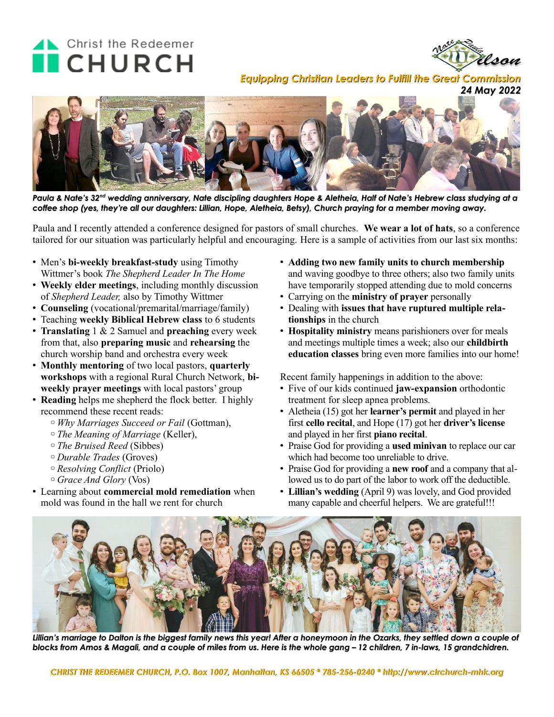## Christ the Redeemer **CHURCH**



*Equipping Christian Leaders to Fulfill the Great Commission*





*Paula & Nate's 32nd wedding anniversary, Nate discipling daughters Hope & Aletheia, Half of Nate's Hebrew class studying at a coffee shop (yes, they're all our daughters: Lillian, Hope, Aletheia, Betsy), Church praying for a member moving away.*

Paula and I recently attended a conference designed for pastors of small churches. **We wear a lot of hats**, so a conference tailored for our situation was particularly helpful and encouraging. Here is a sample of activities from our last six months:

- Men's **bi-weekly breakfast-study** using Timothy Wittmer's book *The Shepherd Leader In The Home*
- **Weekly elder meetings**, including monthly discussion of *Shepherd Leader,* also by Timothy Wittmer
- **Counseling** (vocational/premarital/marriage/family)
- Teaching **weekly Biblical Hebrew class** to 6 students
- **Translating** 1 & 2 Samuel and **preaching** every week from that, also **preparing music** and **rehearsing** the church worship band and orchestra every week
- **Monthly mentoring** of two local pastors, **quarterly workshops** with a regional Rural Church Network, **biweekly prayer meetings** with local pastors' group
- **Reading** helps me shepherd the flock better. I highly recommend these recent reads:
	- ◦*Why Marriages Succeed or Fail* (Gottman),
	- ◦*The Meaning of Marriage* (Keller),
	- ◦*The Bruised Reed* (Sibbes)
	- ◦*Durable Trades* (Groves)
	- ◦*Resolving Conflict* (Priolo)
	- ◦*Grace And Glory* (Vos)
- Learning about **commercial mold remediation** when mold was found in the hall we rent for church
- **Adding two new family units to church membership** and waving goodbye to three others; also two family units have temporarily stopped attending due to mold concerns
- Carrying on the **ministry of prayer** personally
- Dealing with **issues that have ruptured multiple relationships** in the church
- **Hospitality ministry** means parishioners over for meals and meetings multiple times a week; also our **childbirth education classes** bring even more families into our home!

Recent family happenings in addition to the above:

- Five of our kids continued **jaw-expansion** orthodontic treatment for sleep apnea problems.
- Aletheia (15) got her **learner's permit** and played in her first **cello recital**, and Hope (17) got her **driver's license** and played in her first **piano recital**.
- Praise God for providing a **used minivan** to replace our car which had become too unreliable to drive.
- Praise God for providing a **new roof** and a company that allowed us to do part of the labor to work off the deductible.
- **Lillian's wedding** (April 9) was lovely, and God provided many capable and cheerful helpers. We are grateful!!!



*Lillian's marriage to Dalton is the biggest family news this year! After a honeymoon in the Ozarks, they settled down a couple of blocks from Amos & Magali, and a couple of miles from us. Here is the whole gang – 12 children, 7 in-laws, 15 grandchidren.*